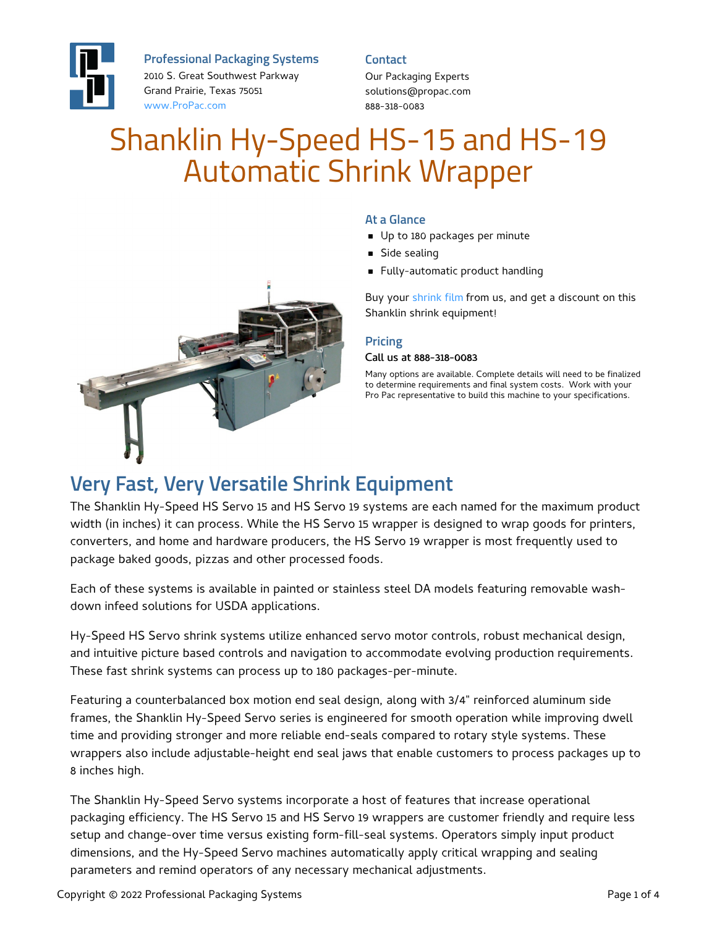

**Professional Packaging Systems**

2010 S. Great Southwest Parkway Grand Prairie, Texas 75051 [www.ProPac.com](https://www.propac.com/)

**Contact**

Our Packaging Experts solutions@propac.com 888-318-0083

# Shanklin Hy-Speed HS-15 and HS-19 Automatic Shrink Wrapper



#### **At a Glance**

- Up to 180 packages per minute
- **Side sealing**
- **Fully-automatic product handling**

Buy your [shrink](file:///packaging-materials/shrink-wrap-film/) film from us, and get a discount on this Shanklin shrink equipment!

#### **Pricing**

#### Call us at 888-318-0083

Many options are available. Complete details will need to be finalized to determine requirements and final system costs. Work with your Pro Pac representative to build this machine to your specifications.

#### **Very Fast, Very Versatile Shrink Equipment**

The Shanklin Hy-Speed HS Servo 15 and HS Servo 19 systems are each named for the maximum product width (in inches) it can process. While the HS Servo 15 wrapper is designed to wrap goods for printers, converters, and home and hardware producers, the HS Servo 19 wrapper is most frequently used to package baked goods, pizzas and other processed foods.

Each of these systems is available in painted or stainless steel DA models featuring removable washdown infeed solutions for USDA applications.

Hy-Speed HS Servo shrink systems utilize enhanced servo motor controls, robust mechanical design, and intuitive picture based controls and navigation to accommodate evolving production requirements. These fast shrink systems can process up to 180 packages-per-minute.

Featuring a counterbalanced box motion end seal design, along with 3/4" reinforced aluminum side frames, the Shanklin Hy-Speed Servo series is engineered for smooth operation while improving dwell time and providing stronger and more reliable end-seals compared to rotary style systems. These wrappers also include adjustable-height end seal jaws that enable customers to process packages up to 8 inches high.

The Shanklin Hy-Speed Servo systems incorporate a host of features that increase operational packaging efficiency. The HS Servo 15 and HS Servo 19 wrappers are customer friendly and require less setup and change-over time versus existing form-fill-seal systems. Operators simply input product dimensions, and the Hy-Speed Servo machines automatically apply critical wrapping and sealing parameters and remind operators of any necessary mechanical adjustments.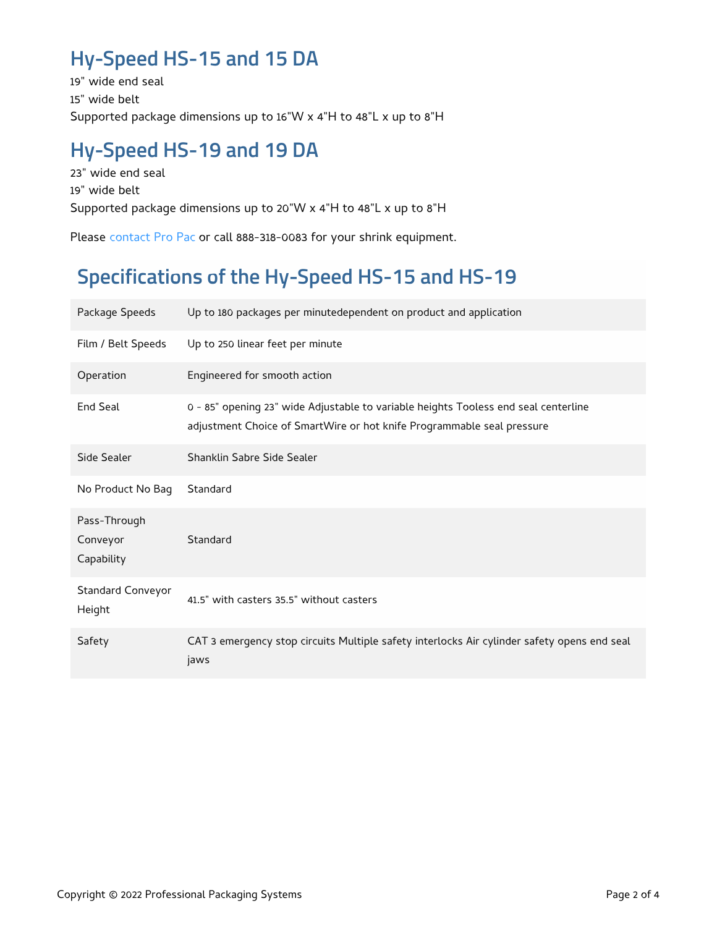### **Hy-Speed HS-15 and 15 DA**

19" wide end seal 15" wide belt Supported package dimensions up to 16"W x 4"H to 48"L x up to 8"H

### **Hy-Speed HS-19 and 19 DA**

23" wide end seal 19" wide belt Supported package dimensions up to 20"W x 4"H to 48"L x up to 8"H

Please [contact](file:///contact/) Pro Pac or call 888-318-0083 for your shrink equipment.

## **Specifications of the Hy-Speed HS-15 and HS-19**

| Package Speeds                         | Up to 180 packages per minutedependent on product and application                                                                                             |
|----------------------------------------|---------------------------------------------------------------------------------------------------------------------------------------------------------------|
| Film / Belt Speeds                     | Up to 250 linear feet per minute                                                                                                                              |
| Operation                              | Engineered for smooth action                                                                                                                                  |
| End Seal                               | 0 - 85" opening 23" wide Adjustable to variable heights Tooless end seal centerline<br>adjustment Choice of SmartWire or hot knife Programmable seal pressure |
| Side Sealer                            | Shanklin Sabre Side Sealer                                                                                                                                    |
| No Product No Bag                      | Standard                                                                                                                                                      |
| Pass-Through<br>Conveyor<br>Capability | Standard                                                                                                                                                      |
| <b>Standard Conveyor</b><br>Height     | 41.5" with casters 35.5" without casters                                                                                                                      |
| Safety                                 | CAT 3 emergency stop circuits Multiple safety interlocks Air cylinder safety opens end seal<br>jaws                                                           |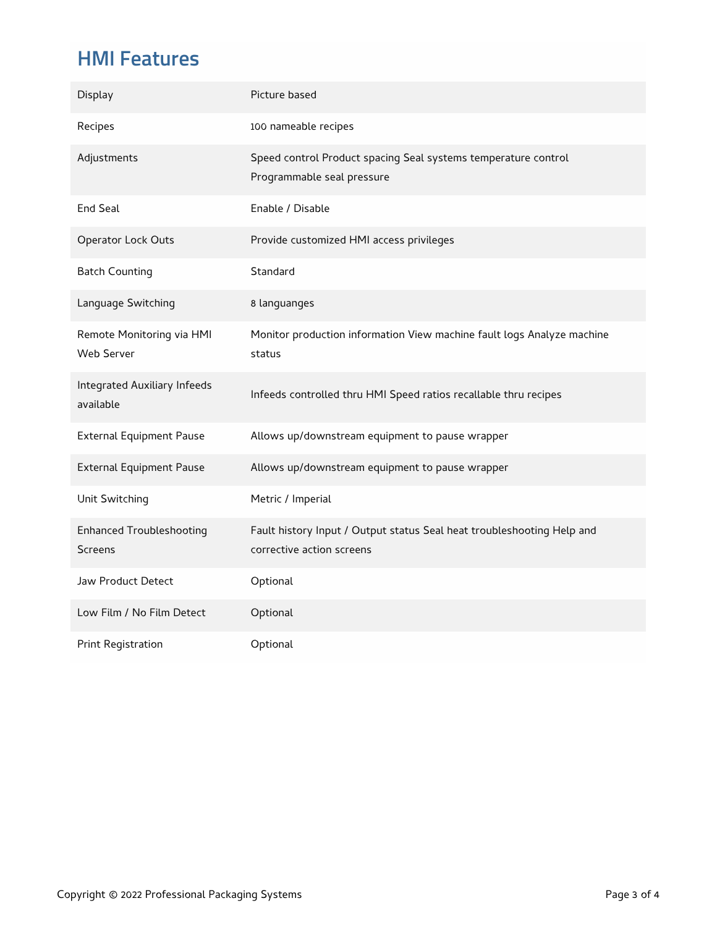### **HMI Features**

| Display                                           | Picture based                                                                                       |
|---------------------------------------------------|-----------------------------------------------------------------------------------------------------|
| Recipes                                           | 100 nameable recipes                                                                                |
| Adjustments                                       | Speed control Product spacing Seal systems temperature control<br>Programmable seal pressure        |
| <b>End Seal</b>                                   | Enable / Disable                                                                                    |
| Operator Lock Outs                                | Provide customized HMI access privileges                                                            |
| <b>Batch Counting</b>                             | Standard                                                                                            |
| Language Switching                                | 8 languanges                                                                                        |
| Remote Monitoring via HMI<br>Web Server           | Monitor production information View machine fault logs Analyze machine<br>status                    |
| Integrated Auxiliary Infeeds<br>available         | Infeeds controlled thru HMI Speed ratios recallable thru recipes                                    |
| <b>External Equipment Pause</b>                   | Allows up/downstream equipment to pause wrapper                                                     |
| <b>External Equipment Pause</b>                   | Allows up/downstream equipment to pause wrapper                                                     |
| Unit Switching                                    | Metric / Imperial                                                                                   |
| <b>Enhanced Troubleshooting</b><br><b>Screens</b> | Fault history Input / Output status Seal heat troubleshooting Help and<br>corrective action screens |
| Jaw Product Detect                                | Optional                                                                                            |
| Low Film / No Film Detect                         | Optional                                                                                            |
| Print Registration                                | Optional                                                                                            |